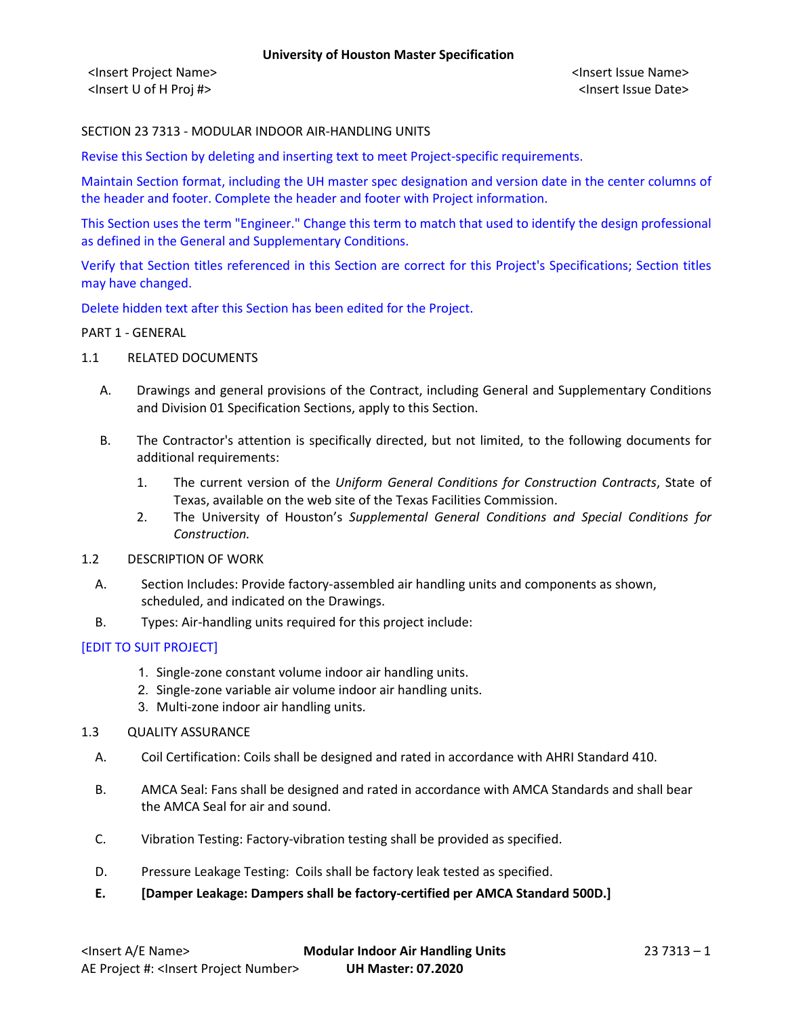### SECTION 23 7313 - MODULAR INDOOR AIR-HANDLING UNITS

Revise this Section by deleting and inserting text to meet Project-specific requirements.

Maintain Section format, including the UH master spec designation and version date in the center columns of the header and footer. Complete the header and footer with Project information.

This Section uses the term "Engineer." Change this term to match that used to identify the design professional as defined in the General and Supplementary Conditions.

Verify that Section titles referenced in this Section are correct for this Project's Specifications; Section titles may have changed.

Delete hidden text after this Section has been edited for the Project.

#### PART 1 - GENERAL

- 1.1 RELATED DOCUMENTS
	- A. Drawings and general provisions of the Contract, including General and Supplementary Conditions and Division 01 Specification Sections, apply to this Section.
	- B. The Contractor's attention is specifically directed, but not limited, to the following documents for additional requirements:
		- 1. The current version of the *Uniform General Conditions for Construction Contracts*, State of Texas, available on the web site of the Texas Facilities Commission.
		- 2. The University of Houston's *Supplemental General Conditions and Special Conditions for Construction.*
- 1.2 DESCRIPTION OF WORK
	- A. Section Includes: Provide factory-assembled air handling units and components as shown, scheduled, and indicated on the Drawings.
	- B. Types: Air-handling units required for this project include:

### [EDIT TO SUIT PROJECT]

- 1. Single-zone constant volume indoor air handling units.
- 2. Single-zone variable air volume indoor air handling units.
- 3. Multi-zone indoor air handling units.
- 1.3 QUALITY ASSURANCE
	- A. Coil Certification: Coils shall be designed and rated in accordance with AHRI Standard 410.
	- B. AMCA Seal: Fans shall be designed and rated in accordance with AMCA Standards and shall bear the AMCA Seal for air and sound.
	- C. Vibration Testing: Factory-vibration testing shall be provided as specified.
	- D. Pressure Leakage Testing: Coils shall be factory leak tested as specified.
	- **E. [Damper Leakage: Dampers shall be factory-certified per AMCA Standard 500D.]**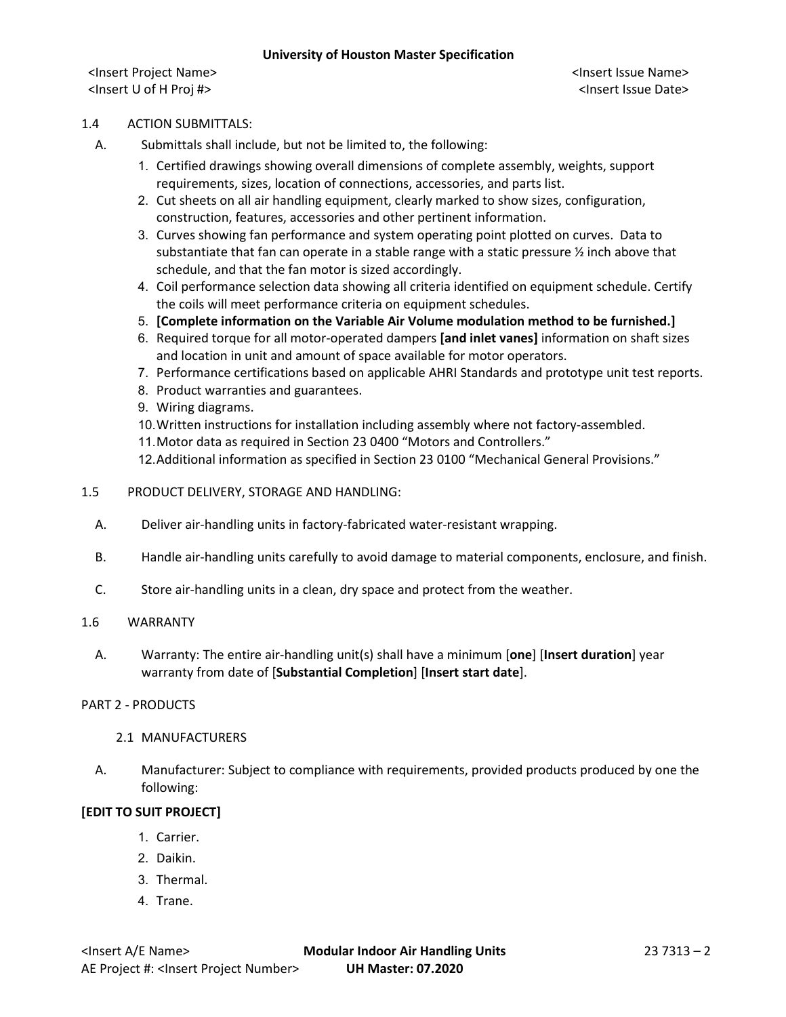### 1.4 ACTION SUBMITTALS:

- A. Submittals shall include, but not be limited to, the following:
	- 1. Certified drawings showing overall dimensions of complete assembly, weights, support requirements, sizes, location of connections, accessories, and parts list.
	- 2. Cut sheets on all air handling equipment, clearly marked to show sizes, configuration, construction, features, accessories and other pertinent information.
	- 3. Curves showing fan performance and system operating point plotted on curves. Data to substantiate that fan can operate in a stable range with a static pressure  $\frac{1}{2}$  inch above that schedule, and that the fan motor is sized accordingly.
	- 4. Coil performance selection data showing all criteria identified on equipment schedule. Certify the coils will meet performance criteria on equipment schedules.
	- 5. **[Complete information on the Variable Air Volume modulation method to be furnished.]**
	- 6. Required torque for all motor-operated dampers **[and inlet vanes]** information on shaft sizes and location in unit and amount of space available for motor operators.
	- 7. Performance certifications based on applicable AHRI Standards and prototype unit test reports.
	- 8. Product warranties and guarantees.
	- 9. Wiring diagrams.
	- 10.Written instructions for installation including assembly where not factory-assembled.
	- 11.Motor data as required in Section 23 0400 "Motors and Controllers."
	- 12.Additional information as specified in Section 23 0100 "Mechanical General Provisions."
- 1.5 PRODUCT DELIVERY, STORAGE AND HANDLING:
	- A. Deliver air-handling units in factory-fabricated water-resistant wrapping.
	- B. Handle air-handling units carefully to avoid damage to material components, enclosure, and finish.
	- C. Store air-handling units in a clean, dry space and protect from the weather.

### 1.6 WARRANTY

A. Warranty: The entire air-handling unit(s) shall have a minimum [**one**] [**Insert duration**] year warranty from date of [**Substantial Completion**] [**Insert start date**].

### PART 2 - PRODUCTS

- 2.1 MANUFACTURERS
- A. Manufacturer: Subject to compliance with requirements, provided products produced by one the following:

## **[EDIT TO SUIT PROJECT]**

- 1. Carrier.
- 2. Daikin.
- 3. Thermal.
- 4. Trane.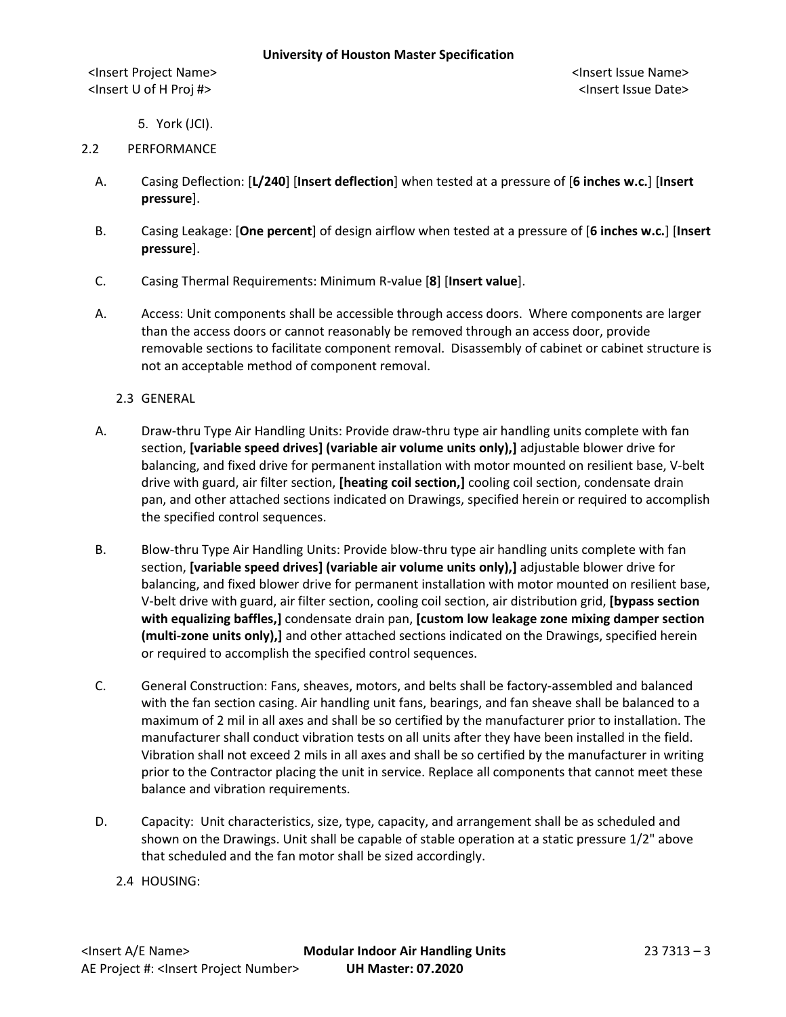5. York (JCI).

### 2.2 PERFORMANCE

- A. Casing Deflection: [**L/240**] [**Insert deflection**] when tested at a pressure of [**6 inches w.c.**] [**Insert pressure**].
- B. Casing Leakage: [**One percent**] of design airflow when tested at a pressure of [**6 inches w.c.**] [**Insert pressure**].
- C. Casing Thermal Requirements: Minimum R-value [**8**] [**Insert value**].
- A. Access: Unit components shall be accessible through access doors. Where components are larger than the access doors or cannot reasonably be removed through an access door, provide removable sections to facilitate component removal. Disassembly of cabinet or cabinet structure is not an acceptable method of component removal.
	- 2.3 GENERAL
- A. Draw-thru Type Air Handling Units: Provide draw-thru type air handling units complete with fan section, **[variable speed drives] (variable air volume units only),]** adjustable blower drive for balancing, and fixed drive for permanent installation with motor mounted on resilient base, V-belt drive with guard, air filter section, **[heating coil section,]** cooling coil section, condensate drain pan, and other attached sections indicated on Drawings, specified herein or required to accomplish the specified control sequences.
- B. Blow-thru Type Air Handling Units: Provide blow-thru type air handling units complete with fan section, **[variable speed drives] (variable air volume units only),]** adjustable blower drive for balancing, and fixed blower drive for permanent installation with motor mounted on resilient base, V-belt drive with guard, air filter section, cooling coil section, air distribution grid, **[bypass section with equalizing baffles,]** condensate drain pan, **[custom low leakage zone mixing damper section (multi-zone units only),]** and other attached sections indicated on the Drawings, specified herein or required to accomplish the specified control sequences.
- C. General Construction: Fans, sheaves, motors, and belts shall be factory-assembled and balanced with the fan section casing. Air handling unit fans, bearings, and fan sheave shall be balanced to a maximum of 2 mil in all axes and shall be so certified by the manufacturer prior to installation. The manufacturer shall conduct vibration tests on all units after they have been installed in the field. Vibration shall not exceed 2 mils in all axes and shall be so certified by the manufacturer in writing prior to the Contractor placing the unit in service. Replace all components that cannot meet these balance and vibration requirements.
- D. Capacity: Unit characteristics, size, type, capacity, and arrangement shall be as scheduled and shown on the Drawings. Unit shall be capable of stable operation at a static pressure 1/2" above that scheduled and the fan motor shall be sized accordingly.
	- 2.4 HOUSING: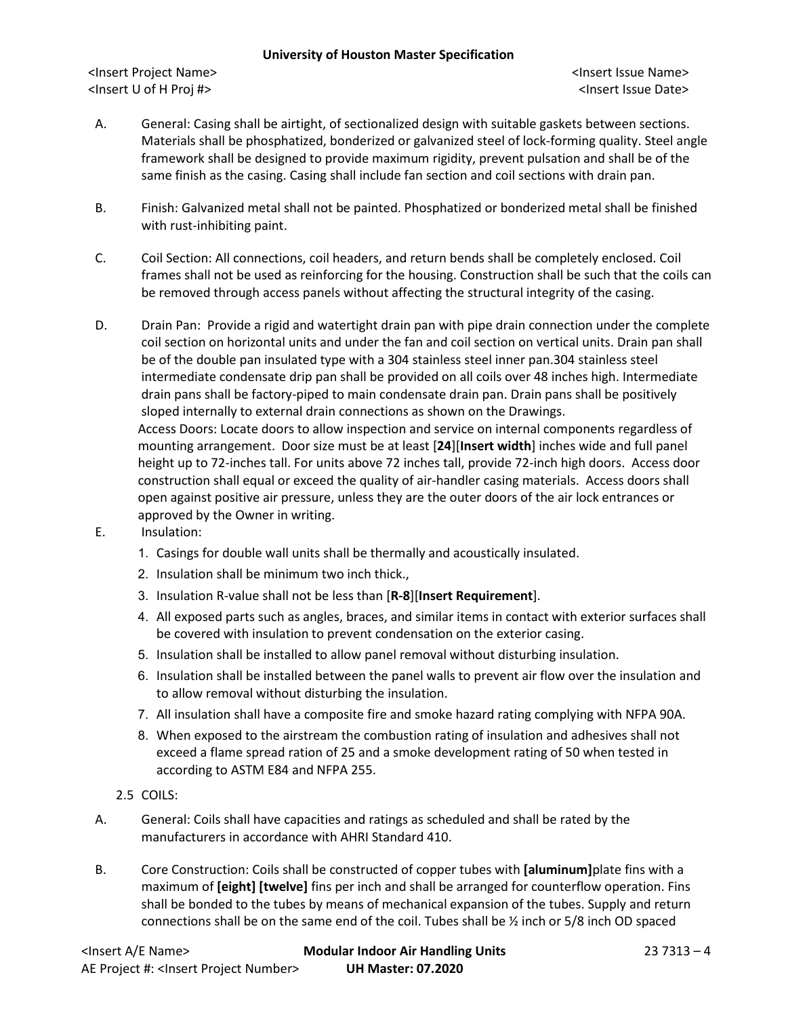### **University of Houston Master Specification**

<Insert Project Name> <Insert Issue Name> <Insert U of H Proj #> <Insert Issue Date>

- A. General: Casing shall be airtight, of sectionalized design with suitable gaskets between sections. Materials shall be phosphatized, bonderized or galvanized steel of lock-forming quality. Steel angle framework shall be designed to provide maximum rigidity, prevent pulsation and shall be of the same finish as the casing. Casing shall include fan section and coil sections with drain pan.
- B. Finish: Galvanized metal shall not be painted. Phosphatized or bonderized metal shall be finished with rust-inhibiting paint.
- C. Coil Section: All connections, coil headers, and return bends shall be completely enclosed. Coil frames shall not be used as reinforcing for the housing. Construction shall be such that the coils can be removed through access panels without affecting the structural integrity of the casing.
- D. Drain Pan: Provide a rigid and watertight drain pan with pipe drain connection under the complete coil section on horizontal units and under the fan and coil section on vertical units. Drain pan shall be of the double pan insulated type with a 304 stainless steel inner pan.304 stainless steel intermediate condensate drip pan shall be provided on all coils over 48 inches high. Intermediate drain pans shall be factory-piped to main condensate drain pan. Drain pans shall be positively sloped internally to external drain connections as shown on the Drawings. Access Doors: Locate doors to allow inspection and service on internal components regardless of mounting arrangement. Door size must be at least [**24**][**Insert width**] inches wide and full panel height up to 72-inches tall. For units above 72 inches tall, provide 72-inch high doors. Access door construction shall equal or exceed the quality of air-handler casing materials. Access doors shall open against positive air pressure, unless they are the outer doors of the air lock entrances or approved by the Owner in writing.
- E. Insulation:
	- 1. Casings for double wall units shall be thermally and acoustically insulated.
	- 2. Insulation shall be minimum two inch thick.,
	- 3. Insulation R-value shall not be less than [**R-8**][**Insert Requirement**].
	- 4. All exposed parts such as angles, braces, and similar items in contact with exterior surfaces shall be covered with insulation to prevent condensation on the exterior casing.
	- 5. Insulation shall be installed to allow panel removal without disturbing insulation.
	- 6. Insulation shall be installed between the panel walls to prevent air flow over the insulation and to allow removal without disturbing the insulation.
	- 7. All insulation shall have a composite fire and smoke hazard rating complying with NFPA 90A.
	- 8. When exposed to the airstream the combustion rating of insulation and adhesives shall not exceed a flame spread ration of 25 and a smoke development rating of 50 when tested in according to ASTM E84 and NFPA 255.
	- 2.5 COILS:
- A. General: Coils shall have capacities and ratings as scheduled and shall be rated by the manufacturers in accordance with AHRI Standard 410.
- B. Core Construction: Coils shall be constructed of copper tubes with **[aluminum]**plate fins with a maximum of **[eight] [twelve]** fins per inch and shall be arranged for counterflow operation. Fins shall be bonded to the tubes by means of mechanical expansion of the tubes. Supply and return connections shall be on the same end of the coil. Tubes shall be  $\frac{1}{2}$  inch or 5/8 inch OD spaced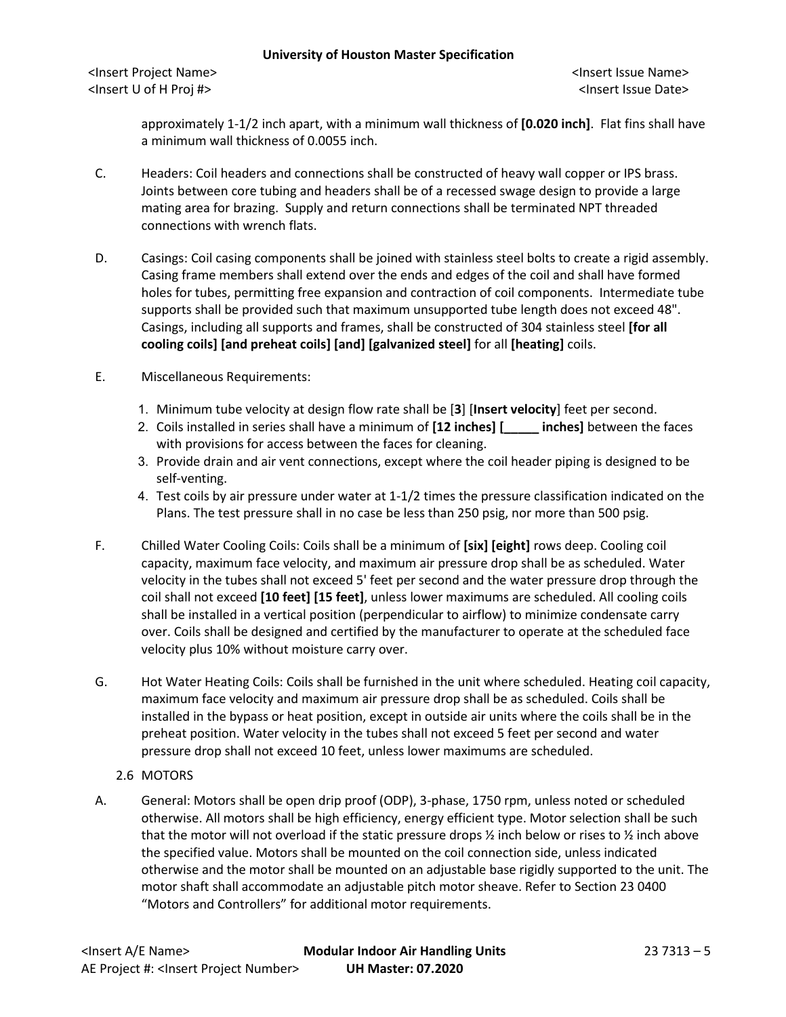approximately 1-1/2 inch apart, with a minimum wall thickness of **[0.020 inch]**. Flat fins shall have a minimum wall thickness of 0.0055 inch.

- C. Headers: Coil headers and connections shall be constructed of heavy wall copper or IPS brass. Joints between core tubing and headers shall be of a recessed swage design to provide a large mating area for brazing. Supply and return connections shall be terminated NPT threaded connections with wrench flats.
- D. Casings: Coil casing components shall be joined with stainless steel bolts to create a rigid assembly. Casing frame members shall extend over the ends and edges of the coil and shall have formed holes for tubes, permitting free expansion and contraction of coil components. Intermediate tube supports shall be provided such that maximum unsupported tube length does not exceed 48". Casings, including all supports and frames, shall be constructed of 304 stainless steel **[for all cooling coils] [and preheat coils] [and] [galvanized steel]** for all **[heating]** coils.
- E. Miscellaneous Requirements:
	- 1. Minimum tube velocity at design flow rate shall be [**3**] [**Insert velocity**] feet per second.
	- 2. Coils installed in series shall have a minimum of **[12 inches] [\_\_\_\_\_ inches]** between the faces with provisions for access between the faces for cleaning.
	- 3. Provide drain and air vent connections, except where the coil header piping is designed to be self-venting.
	- 4. Test coils by air pressure under water at 1-1/2 times the pressure classification indicated on the Plans. The test pressure shall in no case be less than 250 psig, nor more than 500 psig.
- F. Chilled Water Cooling Coils: Coils shall be a minimum of **[six] [eight]** rows deep. Cooling coil capacity, maximum face velocity, and maximum air pressure drop shall be as scheduled. Water velocity in the tubes shall not exceed 5' feet per second and the water pressure drop through the coil shall not exceed **[10 feet] [15 feet]**, unless lower maximums are scheduled. All cooling coils shall be installed in a vertical position (perpendicular to airflow) to minimize condensate carry over. Coils shall be designed and certified by the manufacturer to operate at the scheduled face velocity plus 10% without moisture carry over.
- G. Hot Water Heating Coils: Coils shall be furnished in the unit where scheduled. Heating coil capacity, maximum face velocity and maximum air pressure drop shall be as scheduled. Coils shall be installed in the bypass or heat position, except in outside air units where the coils shall be in the preheat position. Water velocity in the tubes shall not exceed 5 feet per second and water pressure drop shall not exceed 10 feet, unless lower maximums are scheduled.
	- 2.6 MOTORS
- A. General: Motors shall be open drip proof (ODP), 3-phase, 1750 rpm, unless noted or scheduled otherwise. All motors shall be high efficiency, energy efficient type. Motor selection shall be such that the motor will not overload if the static pressure drops  $\frac{1}{2}$  inch below or rises to  $\frac{1}{2}$  inch above the specified value. Motors shall be mounted on the coil connection side, unless indicated otherwise and the motor shall be mounted on an adjustable base rigidly supported to the unit. The motor shaft shall accommodate an adjustable pitch motor sheave. Refer to Section 23 0400 "Motors and Controllers" for additional motor requirements.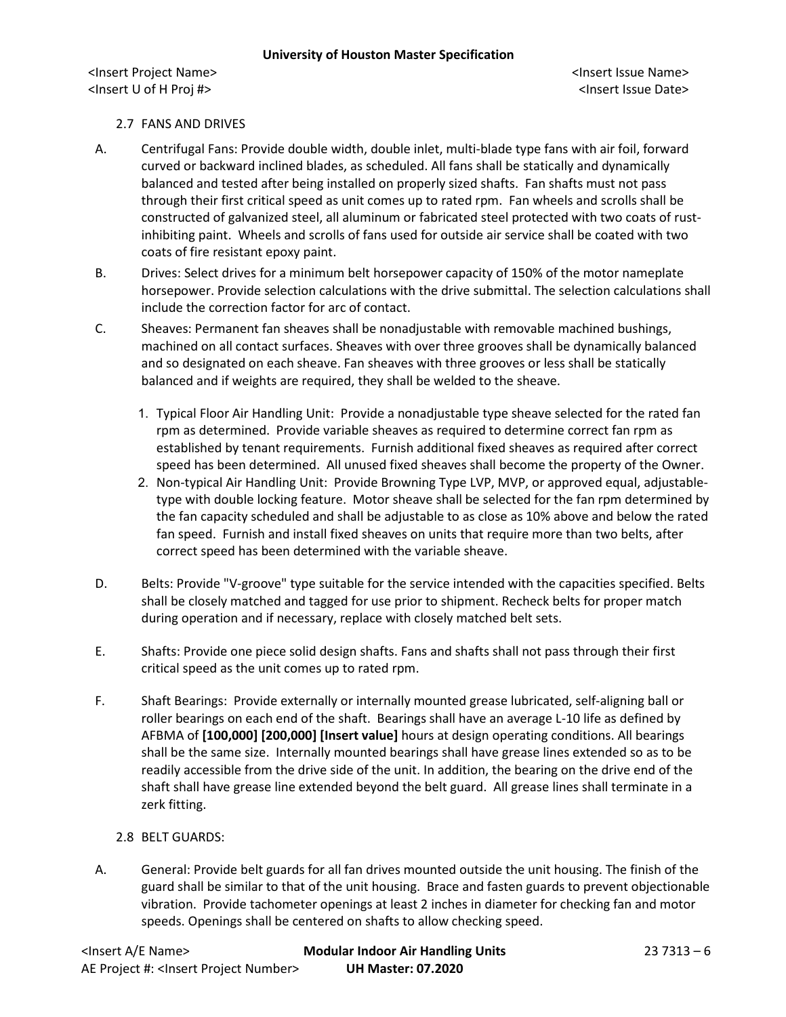### 2.7 FANS AND DRIVES

- A. Centrifugal Fans: Provide double width, double inlet, multi-blade type fans with air foil, forward curved or backward inclined blades, as scheduled. All fans shall be statically and dynamically balanced and tested after being installed on properly sized shafts. Fan shafts must not pass through their first critical speed as unit comes up to rated rpm. Fan wheels and scrolls shall be constructed of galvanized steel, all aluminum or fabricated steel protected with two coats of rustinhibiting paint. Wheels and scrolls of fans used for outside air service shall be coated with two coats of fire resistant epoxy paint.
- B. Drives: Select drives for a minimum belt horsepower capacity of 150% of the motor nameplate horsepower. Provide selection calculations with the drive submittal. The selection calculations shall include the correction factor for arc of contact.
- C. Sheaves: Permanent fan sheaves shall be nonadjustable with removable machined bushings, machined on all contact surfaces. Sheaves with over three grooves shall be dynamically balanced and so designated on each sheave. Fan sheaves with three grooves or less shall be statically balanced and if weights are required, they shall be welded to the sheave.
	- 1. Typical Floor Air Handling Unit: Provide a nonadjustable type sheave selected for the rated fan rpm as determined. Provide variable sheaves as required to determine correct fan rpm as established by tenant requirements. Furnish additional fixed sheaves as required after correct speed has been determined. All unused fixed sheaves shall become the property of the Owner.
	- 2. Non-typical Air Handling Unit: Provide Browning Type LVP, MVP, or approved equal, adjustabletype with double locking feature. Motor sheave shall be selected for the fan rpm determined by the fan capacity scheduled and shall be adjustable to as close as 10% above and below the rated fan speed. Furnish and install fixed sheaves on units that require more than two belts, after correct speed has been determined with the variable sheave.
- D. Belts: Provide "V-groove" type suitable for the service intended with the capacities specified. Belts shall be closely matched and tagged for use prior to shipment. Recheck belts for proper match during operation and if necessary, replace with closely matched belt sets.
- E. Shafts: Provide one piece solid design shafts. Fans and shafts shall not pass through their first critical speed as the unit comes up to rated rpm.
- F. Shaft Bearings: Provide externally or internally mounted grease lubricated, self-aligning ball or roller bearings on each end of the shaft. Bearings shall have an average L-10 life as defined by AFBMA of **[100,000] [200,000] [Insert value]** hours at design operating conditions. All bearings shall be the same size. Internally mounted bearings shall have grease lines extended so as to be readily accessible from the drive side of the unit. In addition, the bearing on the drive end of the shaft shall have grease line extended beyond the belt guard. All grease lines shall terminate in a zerk fitting.

### 2.8 BELT GUARDS:

A. General: Provide belt guards for all fan drives mounted outside the unit housing. The finish of the guard shall be similar to that of the unit housing. Brace and fasten guards to prevent objectionable vibration. Provide tachometer openings at least 2 inches in diameter for checking fan and motor speeds. Openings shall be centered on shafts to allow checking speed.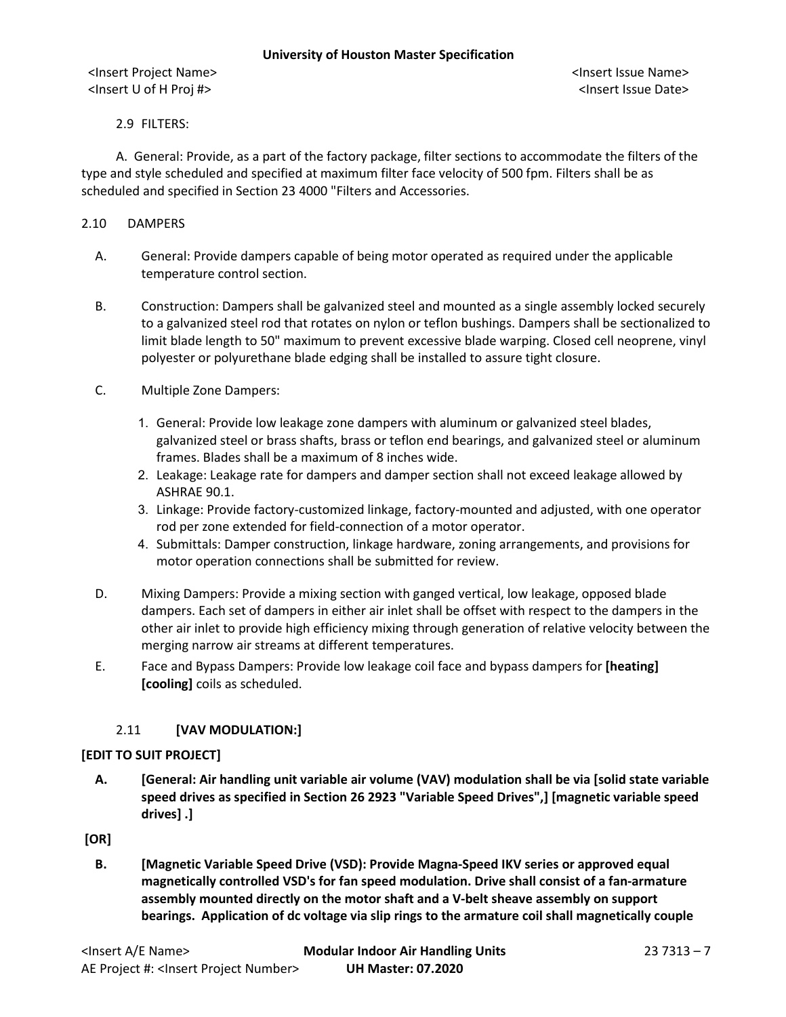### 2.9 FILTERS:

A. General: Provide, as a part of the factory package, filter sections to accommodate the filters of the type and style scheduled and specified at maximum filter face velocity of 500 fpm. Filters shall be as scheduled and specified in Section 23 4000 "Filters and Accessories.

### 2.10 DAMPERS

- A. General: Provide dampers capable of being motor operated as required under the applicable temperature control section.
- B. Construction: Dampers shall be galvanized steel and mounted as a single assembly locked securely to a galvanized steel rod that rotates on nylon or teflon bushings. Dampers shall be sectionalized to limit blade length to 50" maximum to prevent excessive blade warping. Closed cell neoprene, vinyl polyester or polyurethane blade edging shall be installed to assure tight closure.
- C. Multiple Zone Dampers:
	- 1. General: Provide low leakage zone dampers with aluminum or galvanized steel blades, galvanized steel or brass shafts, brass or teflon end bearings, and galvanized steel or aluminum frames. Blades shall be a maximum of 8 inches wide.
	- 2. Leakage: Leakage rate for dampers and damper section shall not exceed leakage allowed by ASHRAE 90.1.
	- 3. Linkage: Provide factory-customized linkage, factory-mounted and adjusted, with one operator rod per zone extended for field-connection of a motor operator.
	- 4. Submittals: Damper construction, linkage hardware, zoning arrangements, and provisions for motor operation connections shall be submitted for review.
- D. Mixing Dampers: Provide a mixing section with ganged vertical, low leakage, opposed blade dampers. Each set of dampers in either air inlet shall be offset with respect to the dampers in the other air inlet to provide high efficiency mixing through generation of relative velocity between the merging narrow air streams at different temperatures.
- E. Face and Bypass Dampers: Provide low leakage coil face and bypass dampers for **[heating] [cooling]** coils as scheduled.

### 2.11 **[VAV MODULATION:]**

### **[EDIT TO SUIT PROJECT]**

**A. [General: Air handling unit variable air volume (VAV) modulation shall be via [solid state variable speed drives as specified in Section 26 2923 "Variable Speed Drives",] [magnetic variable speed drives] .]**

## **[OR]**

**B. [Magnetic Variable Speed Drive (VSD): Provide Magna-Speed IKV series or approved equal magnetically controlled VSD's for fan speed modulation. Drive shall consist of a fan-armature assembly mounted directly on the motor shaft and a V-belt sheave assembly on support bearings. Application of dc voltage via slip rings to the armature coil shall magnetically couple**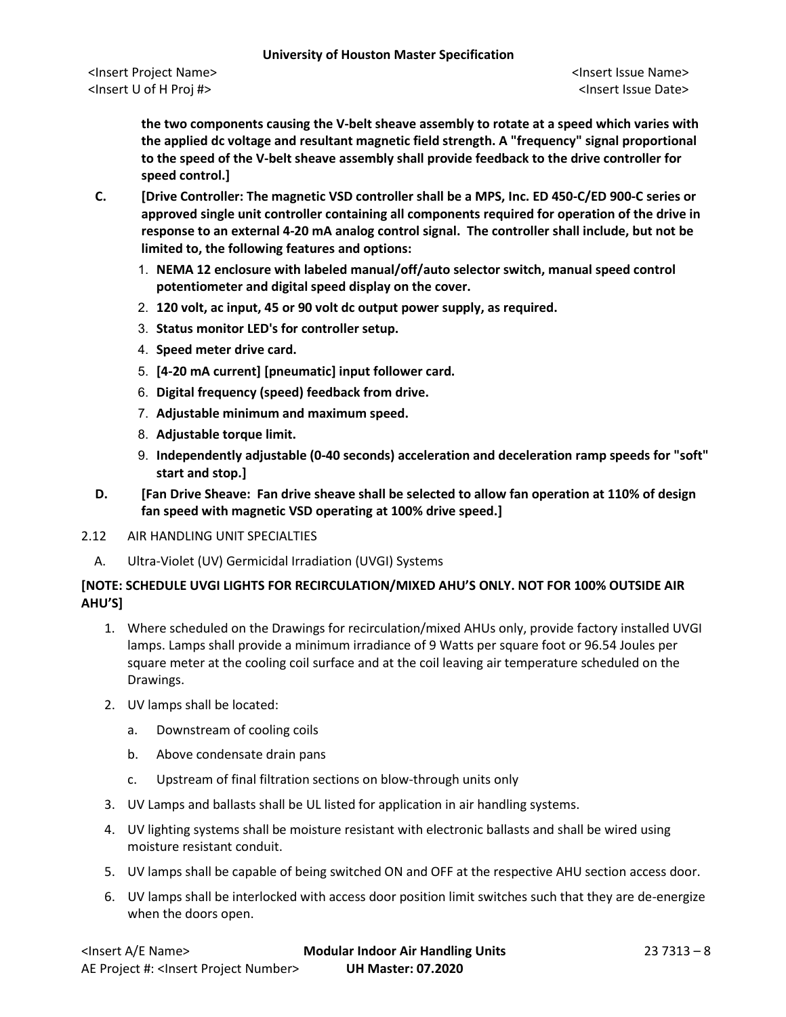**the two components causing the V-belt sheave assembly to rotate at a speed which varies with the applied dc voltage and resultant magnetic field strength. A "frequency" signal proportional to the speed of the V-belt sheave assembly shall provide feedback to the drive controller for speed control.]**

- **C. [Drive Controller: The magnetic VSD controller shall be a MPS, Inc. ED 450-C/ED 900-C series or approved single unit controller containing all components required for operation of the drive in response to an external 4-20 mA analog control signal. The controller shall include, but not be limited to, the following features and options:**
	- 1. **NEMA 12 enclosure with labeled manual/off/auto selector switch, manual speed control potentiometer and digital speed display on the cover.**
	- 2. **120 volt, ac input, 45 or 90 volt dc output power supply, as required.**
	- 3. **Status monitor LED's for controller setup.**
	- 4. **Speed meter drive card.**
	- 5. **[4-20 mA current] [pneumatic] input follower card.**
	- 6. **Digital frequency (speed) feedback from drive.**
	- 7. **Adjustable minimum and maximum speed.**
	- 8. **Adjustable torque limit.**
	- 9. **Independently adjustable (0-40 seconds) acceleration and deceleration ramp speeds for "soft" start and stop.]**
- **D. [Fan Drive Sheave: Fan drive sheave shall be selected to allow fan operation at 110% of design fan speed with magnetic VSD operating at 100% drive speed.]**
- 2.12 AIR HANDLING UNIT SPECIALTIES
	- A. Ultra-Violet (UV) Germicidal Irradiation (UVGI) Systems

# **[NOTE: SCHEDULE UVGI LIGHTS FOR RECIRCULATION/MIXED AHU'S ONLY. NOT FOR 100% OUTSIDE AIR AHU'S]**

- 1. Where scheduled on the Drawings for recirculation/mixed AHUs only, provide factory installed UVGI lamps. Lamps shall provide a minimum irradiance of 9 Watts per square foot or 96.54 Joules per square meter at the cooling coil surface and at the coil leaving air temperature scheduled on the Drawings.
- 2. UV lamps shall be located:
	- a. Downstream of cooling coils
	- b. Above condensate drain pans
	- c. Upstream of final filtration sections on blow-through units only
- 3. UV Lamps and ballasts shall be UL listed for application in air handling systems.
- 4. UV lighting systems shall be moisture resistant with electronic ballasts and shall be wired using moisture resistant conduit.
- 5. UV lamps shall be capable of being switched ON and OFF at the respective AHU section access door.
- 6. UV lamps shall be interlocked with access door position limit switches such that they are de-energize when the doors open.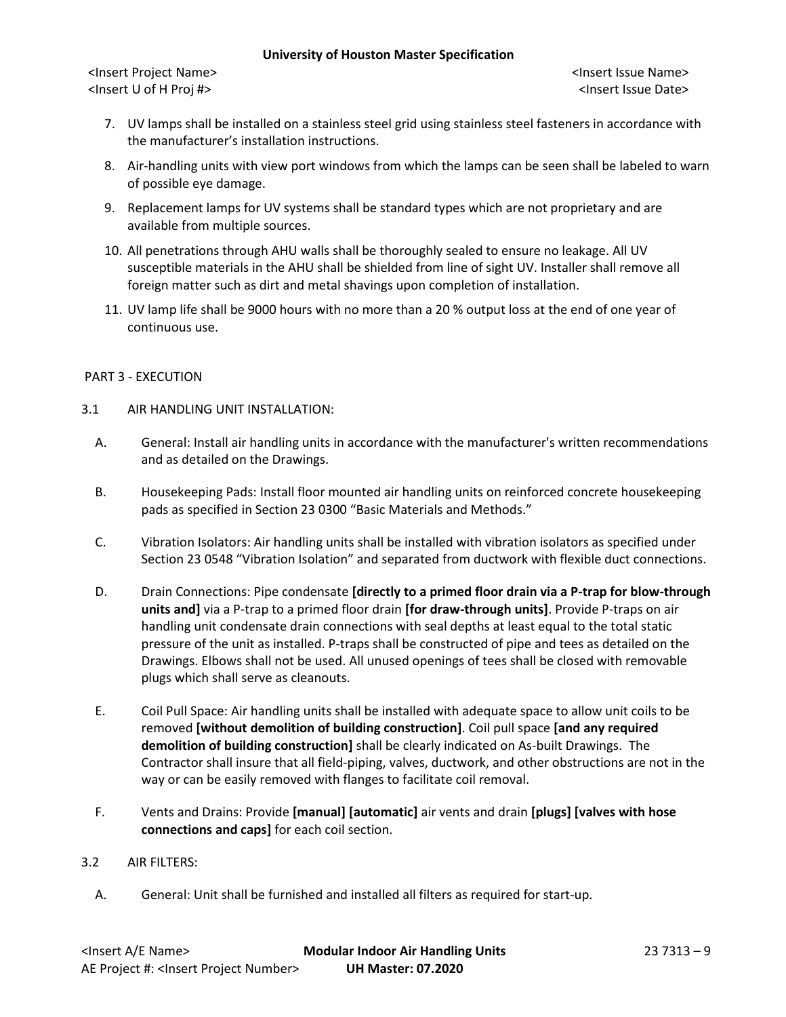#### **University of Houston Master Specification**

<Insert Project Name> <Insert Issue Name> <Insert U of H Proj #> <Insert Issue Date>

- 7. UV lamps shall be installed on a stainless steel grid using stainless steel fasteners in accordance with the manufacturer's installation instructions.
- 8. Air-handling units with view port windows from which the lamps can be seen shall be labeled to warn of possible eye damage.
- 9. Replacement lamps for UV systems shall be standard types which are not proprietary and are available from multiple sources.
- 10. All penetrations through AHU walls shall be thoroughly sealed to ensure no leakage. All UV susceptible materials in the AHU shall be shielded from line of sight UV. Installer shall remove all foreign matter such as dirt and metal shavings upon completion of installation.
- 11. UV lamp life shall be 9000 hours with no more than a 20 % output loss at the end of one year of continuous use.

### PART 3 - EXECUTION

- 3.1 AIR HANDLING UNIT INSTALLATION:
	- A. General: Install air handling units in accordance with the manufacturer's written recommendations and as detailed on the Drawings.
	- B. Housekeeping Pads: Install floor mounted air handling units on reinforced concrete housekeeping pads as specified in Section 23 0300 "Basic Materials and Methods."
	- C. Vibration Isolators: Air handling units shall be installed with vibration isolators as specified under Section 23 0548 "Vibration Isolation" and separated from ductwork with flexible duct connections.
	- D. Drain Connections: Pipe condensate **[directly to a primed floor drain via a P-trap for blow-through units and]** via a P-trap to a primed floor drain **[for draw-through units]**. Provide P-traps on air handling unit condensate drain connections with seal depths at least equal to the total static pressure of the unit as installed. P-traps shall be constructed of pipe and tees as detailed on the Drawings. Elbows shall not be used. All unused openings of tees shall be closed with removable plugs which shall serve as cleanouts.
	- E. Coil Pull Space: Air handling units shall be installed with adequate space to allow unit coils to be removed **[without demolition of building construction]**. Coil pull space **[and any required demolition of building construction]** shall be clearly indicated on As-built Drawings. The Contractor shall insure that all field-piping, valves, ductwork, and other obstructions are not in the way or can be easily removed with flanges to facilitate coil removal.
	- F. Vents and Drains: Provide **[manual] [automatic]** air vents and drain **[plugs] [valves with hose connections and caps]** for each coil section.

### 3.2 AIR FILTERS:

A. General: Unit shall be furnished and installed all filters as required for start-up.